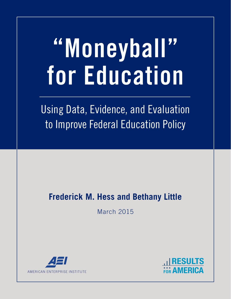# **"Moneyball" for Education**

Using Data, Evidence, and Evaluation to Improve Federal Education Policy

# **Frederick M. Hess and Bethany Little**

March 2015



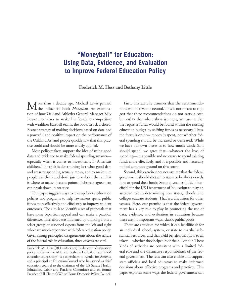# **"Moneyball" for Education: Using Data, Evidence, and Evaluation to Improve Federal Education Policy**

**Frederick M. Hess and Bethany Little**

More than a decade ago, Michael Lewis penned<br>the influential book *Moneyball*. An examination of how Oakland Athletics General Manager Billy Beane used data to make his franchise competitive with wealthier baseball teams, the book struck a chord. Beane's strategy of making decisions based on data had a powerful and positive impact on the performance of the Oakland A's, and people quickly saw that this practice could and should be more widely applied.

Most policymakers support the idea of using good data and evidence to make federal spending smarter especially when it comes to investments in America's children. The trick is determining just what good data and smarter spending actually mean, and to make sure people use them and don't just talk about them. That is where so many pleasant points of abstract agreement can break down in practice.

This paper suggests ways to revamp federal education policies and programs to help lawmakers spend public funds more effectively and efficiently to improve student outcomes. The aim is to identify a set of proposals that have some bipartisan appeal and can make a practical difference. This effort was informed by thinking from a select group of seasoned experts from the left and right who have much experience with federal education policy. Given strong-principled disagreements about the nature of the federal role in education, three caveats are vital.

Frederick M. Hess (RHess@aei.org) is director of education policy studies at the AEI, and Bethany Little (bethany.little@ educationcounsel.com) is a consultant to Results for America and a principal at EducationCounsel who has served as chief education counsel to the chairman of the US Senate Health, Education, Labor and Pensions Committee and on former President Bill Clinton's White House Domestic Policy Council.

First, this exercise assumes that the recommendations will be revenue neutral. This is not meant to suggest that these recommendations do not carry a cost, but rather that where there is a cost, we assume that the requisite funds would be found within the existing education budget by shifting funds as necessary. Thus, the focus is on how money is spent, not whether federal spending should be increased or decreased. While we have our own biases as to how much Uncle Sam should spend, we agree that—whatever the level of spending—it is possible and necessary to spend existing funds more effectively, and it is possible and necessary to find common ground on this count.

Second, this exercise does not assume that the federal government should dictate to states or localities exactly how to spend their funds. Some advocates think it beneficial for the US Department of Education to play an assertive role in determining how states, schools, and colleges educate students. That is a discussion for other venues. Here, our premise is that the federal government has a key role to play in promoting the use of data, evidence, and evaluation in education because these are, in important ways, classic public goods.

These are activities for which it can be difficult for an individual school, system, or state to marshal substantial resources, and that yield benefits that flow to all takers—whether they helped foot the bill or not. These kinds of activities are consistent with a limited federal role and the distinctive responsibilities of the federal government. The feds can also enable and support state officials and local educators to make informed decisions about effective programs and practices. This paper explores some ways the federal government can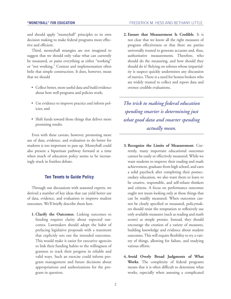and should apply "moneyball" principles to its own decision making to make federal programs more effective and efficient.

Third, moneyball strategies are not imagined to suggest that we should only value what can currently be measured, or paint everything as either "working" or "not working." Context and implementation often belie that simple construction. It does, however, mean that we should

- Collect better, more useful data and build evidence about how well programs and policies work;
- Use evidence to improve practice and inform policies; and
- Shift funds toward those things that deliver more promising results.

Even with these caveats, however, promoting more use of data, evidence, and evaluation to do better for students is too important to pass up. Moneyball could also present a bipartisan pathway forward at a time when much of education policy seems to be increasingly stuck in fruitless debate.

# **Ten Tenets to Guide Policy**

Through our discussions with seasoned experts, we derived a number of key ideas that can yield better use of data, evidence, and evaluation to improve student outcomes. We'll briefly describe them here.

**1. Clarify the Outcomes**. Linking outcomes to funding requires clarity about expected outcomes. Lawmakers should adopt the habit of prefacing legislative proposals with a statement that explicitly sets out the intended outcomes. This would make it easier for executive agencies to link their funding habits to the willingness of grantees to track their progress in reliable and valid ways. Such an exercise could inform program management and future decisions about appropriations and authorizations for the program in question.

**2. Ensure that Measurement Is Credible**. It is not clear that we know all the right measures of program effectiveness or that there are parties universally trusted to generate accurate and, thus, authoritative measurements. Therefore, who should do the measuring, and how should they should do it? Relying on referees whose impartiality is suspect quickly undermines any discussion of metrics. There is a need for honest brokers who are widely trusted to collect and report data and oversee credible evaluations.

*The trick to making federal education spending smarter is determining just what good data and smarter spending actually mean.*

- **3. Recognize the Limits of Measurement**. Currently, many important educational outcomes cannot be easily or effectively measured. While we want students to improve their reading and math achievement, graduate from high school, and earn a solid paycheck after completing their postsecondary education, we also want them to learn to be creative, responsible, and self-reliant thinkers and citizens. A focus on performance outcomes ought not mean looking only at those things that can be readily measured. When outcomes cannot be clearly specified or measured, policymakers should resist the temptation to reflexively use only available measures (such as reading and math scores) as simple proxies. Instead, they should encourage the creation of a variety of measures, building knowledge and evidence about student outcomes. This will require flexibility to try a variety of things, allowing for failure, and studying various efforts.
- **4. Avoid Overly Broad Judgments of What Works**. The complexity of federal programs means that it is often difficult to determine what works, especially when assessing a complicated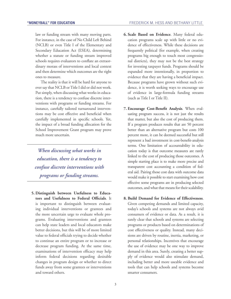law or funding stream with many moving parts. For instance, in the case of No Child Left Behind (NCLB) or even Title I of the Elementary and Secondary Education Act (ESEA), determining whether a statute or funding stream improved schools requires evaluators to conflate an extraordinary morass of interventions and local context and then determine which outcomes are the right ones to measure.

The reality is that it will be hard for anyone to ever say that NCLB or Title I did or did not work. Put simply, when discussing what works in education, there is a tendency to confuse discrete interventions with programs or funding streams. For instance, carefully tailored turnaround interventions may be cost effective and beneficial when carefully implemented in specific schools. Yet, the impact of a broad funding allocation for the School Improvement Grant program may prove much more uncertain.

*When discussing what works in education, there is a tendency to confuse discrete interventions with programs or funding streams.*

**5. Distinguish between Usefulness to Educators and Usefulness to Federal Officials**. It is important to distinguish between evaluating individual interventions or grantees and the more uncertain urge to evaluate whole programs. Evaluating interventions and grantees can help state leaders and local educators make better decisions, but this will be of more limited value to federal officials trying to decide whether to continue an entire program or to increase or decrease program funding. At the same time, examinations of intervention efficacy may help inform federal decisions regarding desirable changes in program design or whether to direct funds away from some grantees or interventions and toward others.

- **6. Scale Based on Evidence**. Many federal education programs scale up with little or no evidence of effectiveness. While these decisions are frequently political (for example, when creating programs big enough to touch most congressional districts), they may not be the best strategy for investing taxpayer funds. Programs should be expanded more intentionally, in proportion to evidence that they are having a beneficial impact. Because programs have grown without such evidence, it is worth seeking ways to encourage use of evidence in large-formula funding streams (such as Title I or Title II).
- **7. Encourage Cost-Benefit Analysis**. When evaluating program success, it is not just the results that matter, but also the cost of producing them. If a program produces results that are 50 percent better than an alternative program but costs 100 percent more, it can be deemed successful but still represent a bad investment in cost-benefit-analysis terms. One limitation of accountability in education today is that outcome measures are rarely linked to the cost of producing those outcomes. A simple starting place is to make more precise and transparent cost accounting a condition of federal aid. Pairing those cost data with outcome data would make it possible to start examining how cost effective some programs are in producing selected outcomes, and what that means for their scalability.
- **8. Build Demand for Evidence of Effectiveness**. Given competing demands and limited capacity, today's schools and systems are not always avid consumers of evidence or data. As a result, it is rarely clear that schools and systems are selecting programs or products based on determinations of cost effectiveness or quality. Instead, many decisions are driven by routine, inertia, marketing, or personal relationships. Incentives that encourage the use of evidence may be one way to improve demand in this area. Surely, creating a better supply of evidence would also stimulate demand, including better and more useable evidence and tools that can help schools and systems become smarter consumers.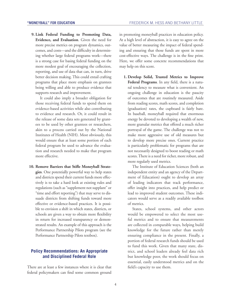**9. Link Federal Funding to Promoting Data, Evidence, and Evaluation**. Given the need for more precise metrics on program dynamics, outcomes, and costs—and the difficulty in determining whether large federal programs work—there is a strong case for basing federal funding on the more modest goal of encouraging the collection, reporting, and use of data that can, in turn, drive better decision making. This could entail crafting programs that place more emphasis on grantees being willing and able to produce evidence that supports research and improvement.

It could also imply a broader obligation for those receiving federal funds to spend them on evidence-based activities while also contributing to evidence and research. Or, it could result in the release of some data sets generated by grantees to be used by other grantees or researchers, akin to a process carried out by the National Institutes of Health (NIH). Most obviously, this would ensure that at least some portion of each federal program be used to advance the evaluation and research needed to make that program more effective.

**10. Remove Barriers that Stifle Moneyball Strategies**. One potentially powerful way to help states and districts spend their current funds more effectively is to take a hard look at existing rules and regulations (such as "supplement not supplant" or "time and effort reporting") that may serve to dissuade districts from shifting funds toward more effective or evidence-based practices. It is possible to envision a shift in which states, districts, or schools are given a way to obtain more flexibility in return for increased transparency or demonstrated results. An example of this approach is the Performance Partnership Pilots program (see the Performance Partnership Pilots textbox).

# **Policy Recommendations: An Appropriate and Disciplined Federal Role**

There are at least a few instances where it is clear that federal policymakers can find some common ground in promoting moneyball practices in education policy. At a high level of abstraction, it is easy to agree on the value of better measuring the impact of federal spending and ensuring that those funds are spent in more cost-effective ways. The challenge is in the fine print. Here, we offer some concrete recommendations that may help on this score.

**1. Develop Solid, Trusted Metrics to Improve Federal Programs**. In any field, there is a natural tendency to measure what is convenient. An ongoing challenge in education is the paucity of outcomes that are routinely measured. Aside from reading scores, math scores, and completion (graduation) rates, the cupboard is fairly bare. In baseball, moneyball required that enormous energy be devoted to developing a wealth of new, more granular metrics that offered a much richer portrayal of the game. The challenge was not to make more aggressive use of old measures but to develop more precise ones. Current practice is particularly problematic for programs that are not necessarily designed to boost reading or math scores. There is a need for richer, more robust, and more regularly used metrics.

The Institute of Education Sciences (both an independent entity and an agency of the Department of Education) ought to develop an array of leading indicators that track performance, offer insight into practices, and help predict or lead to improved student outcomes. These indicators would serve as a readily available toolbox of metrics.

States, school systems, and other actors would be empowered to select the most useful metrics and to ensure that measurements are collected in comparable ways, helping build knowledge for the future rather than merely ensuring compliance in the present. Finally, a portion of federal research funds should be used to fund this work. Given that many state, district, and school leaders already feel data rich but knowledge poor, the work should focus on essential, easily understood metrics and on the field's capacity to use them.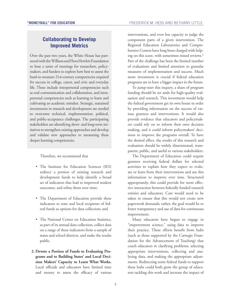# **Collaborating to Develop Improved Metrics**

Over the past two years, the White House has partnered with the William and Flora Hewlett Foundation to host a series of meetings for researchers, policymakers, and funders to explore how best to assess the hard-to-measure 21st-century competencies required for success in college, career, and civic and everyday life. These include interpersonal competencies such as oral communication and collaboration, and intrapersonal competencies such as learning to learn and cultivating an academic mindset. Strategic, sustained investments in research and development are needed to overcome technical, implementation, political, and public-acceptance challenges. The participating stakeholders are identifying short- and long-term initiatives to strengthen existing approaches and develop and validate new approaches to measuring these deeper learning competencies.

Therefore, we recommend that

- The Institute for Education Sciences (IES) redirect a portion of existing research and development funds to help identify a broad set of indicators that lead to improved student outcomes, and refine them over time;
- The Department of Education provide these indicators to state and local recipients of federal funds as options for data collection; and
- The National Center on Education Statistics, as part of its annual data collection, collect data on a range of these indicators from a sample of states and school districts, and make the results public.
- **2. Devote a Portion of Funds to Evaluating Programs and to Building States' and Local Decision Makers' Capacity to Learn What Works.** Local officials and educators have limited time and money to assess the efficacy of various

interventions, and even less capacity to judge the component parts of a given intervention. The Regional Education Laboratories and Comprehensive Centers have long been charged with helping on this score, with sometimes mixed reviews.<sup>1</sup> Part of the challenge has been the limited number of evaluations and limited attention to granular measures of implementation and success. Much more investment is crucial if federal education programs are to have a bigger impact in the future.

To jump-start this inquiry, a share of program funding should be set aside for high-quality evaluation and research. This investment would help the federal government get its own house in order by providing information on the success of various grantees and interventions. It would also provide evidence that educators and policymakers could rely on to inform their own decision making, and it could inform policymakers' decisions to improve the programs overall. To have the desired effect, the results of this research and evaluation should be widely disseminated, transparent, public, and useful to various stakeholders.

The Department of Education could require grantees receiving federal dollars for selected activities to explain how they expect to evaluate or learn from their interventions and use this information to improve over time. Structured appropriately, this could provide for more effective interaction between federally funded research entities and educators. Care would need to be taken to ensure that this would not create new paperwork demands; rather, the goal would be to foster transparency and use of data for continuous improvement.

Many educators have begun to engage in "improvement science," using data to improve their practice. These efforts benefit from hubs (such as those supported by the Carnegie Foundation for the Advancement of Teaching) that coach educators in clarifying problems, selecting appropriate interventions, collecting and analyzing data, and making the appropriate adjustments. Redirecting some federal funds to support these hubs could both grow the group of educators tackling this work and increase the impact of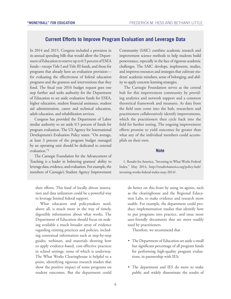# **Current Efforts to Improve Program Evaluation and Leverage Data**

In 2014 and 2015, Congress included a provision in its annual spending bills that would allow the Department of Education to reserve up to 0.5 percent of ESEA funds—except Title I and Title III funds, and those for programs that already have an evaluation provision for evaluating the effectiveness of federal education programs and the grantees and interventions that they fund. The fiscal year 2016 budget request goes one step further and seeks authority for the Department of Education to set aside evaluation funds for ESEA, higher education, student financial assistance, student aid administration, career and technical education, adult education, and rehabilitation services.

Congress has provided the Department of Labor similar authority to set aside 0.5 percent of funds for program evaluation. The US Agency for International Development's Evaluation Policy states: "On average, at least 3 percent of the program budget managed by an operating unit should be dedicated to external evaluation<sup>"1</sup>

The Carnegie Foundation for the Advancement of Teaching is a leader in bolstering grantees' ability to leverage data, evidence, and evaluation. For example, the members of Carnegie's Student Agency Improvement

their efforts. This kind of locally driven innovation and data utilization could be a powerful way to leverage limited federal support.

What educators and policymakers need, above all, is much more in the way of timely, digestible information about what works. The Department of Education should focus on making available a much broader array of evidence regarding existing practices and policies, including contextual information such as step-by-step guides, webinars, and materials showing how to apply evidence-based, cost-effective practices in school settings, some of which is underway. The What Works Clearinghouse is helpful to a point, identifying rigorous research studies that show the positive impact of some programs on student outcomes. But the department could

Community (SAIC) combine academic research and improvement science methods to help students build perseverance, especially in the face of rigorous academic challenges. The SAIC develops, implements, studies, and improves resources and strategies that cultivate students' academic mindsets, sense of belonging, and ability to apply concrete learning strategies.

The Carnegie Foundation serves as the central hub for this improvement community by providing analytics and network support and a common theoretical framework and measures. As data from the field tests come into the hub, researchers and practitioners collaboratively identify improvements, which the practitioners then cycle back into the field for further testing. The ongoing improvement efforts promise to yield outcomes far greater than what any of the individual members could accomplish on their own.

# **Note**

1. Results for America, "Investing in What Works Federal Index," May 2014, [http://results4america.org/policy-hub/](http://results4america.org/policy-hub/investing-works-federal-index-may-2014/) [investing-works-federal-index-may-2014/.](http://results4america.org/policy-hub/investing-works-federal-index-may-2014/)

> do better on this front by using its agents, such as the clearinghouse and the Regional Education Labs, to make evidence and research more usable. For example, the department could produce implementation studies that identify how to put programs into practice, and issue more user-friendly documents that are more readily used by practitioners.

Therefore, we recommend that

- The Department of Education set aside a small but significant percentage of all program funds for performing high-quality program evaluations, in partnership with IES;
- The department and IES do more to make public and widely disseminate the results of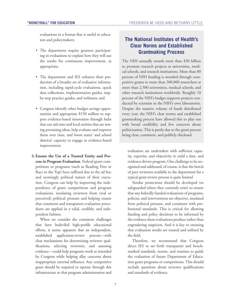evaluations in a format that is useful to educators and policymakers;

- The department require grantees participating in evaluations to explain how they will use the results for continuous improvement, as appropriate;
- The department and IES enhance their production of a broader set of evaluative information, including rapid-cycle evaluations, quick data collections, implementation guides, stepby-step practice guides, and webinars; and
- Congress identify other budget savings opportunities and appropriate \$150 million to support evidence-based innovation through hubs that can aid state and local entities that are testing promising ideas, help evaluate and improve them over time, and boost states' and school districts' capacity to engage in evidence-based improvement.
- **3. Ensure the Use of a Trusted Entity and Process in Program Evaluation**. Federal grant competitions or programs (such as Reading First or Race to the Top) have suffered due to the ad hoc and seemingly political nature of their execution. Congress can help by improving the independence of grant competitions and program evaluations, insulating reviewers from (real or perceived) political pressure and helping ensure that consistent and transparent evaluation procedures are applied in a valid, credible, and independent fashion.

When we consider the consistent challenges that have bedeviled high-profile educational efforts, it seems apparent that an independent, established application-review process—with clear mechanisms for determining reviewer qualifications, selecting reviewers, and assessing evidence—could help programs work as intended by Congress while helping allay concerns about inappropriate external influence. Any competitive grant should be required to operate through this infrastructure so that program administration and

# **The National Institutes of Health's Clear Norms and Established Grantmaking Process**

The NIH annually awards more than \$30 billion to promote research projects at universities, medical schools, and research institutions. More than 80 percent of NIH funding is awarded through competitive grants to more than 300,000 researchers at more than 2,500 universities, medical schools, and other research institutions worldwide. Roughly 10 percent of the NIH's budget supports projects conducted by scientists in the NIH's own laboratories. Despite the massive volume of funds distributed every year, the NIH's clear norms and established grantmaking process have allowed this to play out with broad credibility and few concerns about politicization. This is partly due to the grant process being clear, consistent, and publicly disclosed.

evaluation are undertaken with sufficient capacity, expertise, and objectivity to yield a data- and evidence-driven program. One challenge to be recognized and addressed, of course, is that the bench of peer reviewers available to the department for a typical grant review process is quite limited

Similar protections should be developed (or safeguarded where they currently exist) to ensure that any federally funded evaluations of programs, policies, and interventions are objective, insulated from political pressure, and consistent with professional standards. This is critical for allowing funding and policy decisions to be informed by the evidence these evaluations produce rather than engendering suspicion. And it is key to ensuring that evaluation results are trusted and utilized by the field.

Therefore, we recommend that Congress direct IES to set forth transparent and benchmarked standards, norms, and routines to guide the evaluation of future Department of Education grant programs or competitions. This should include questions about reviewer qualifications and standards of evidence.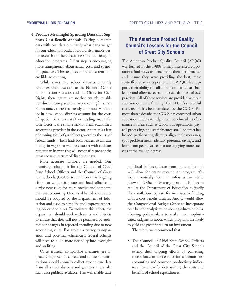**4. Produce Meaningful Spending Data that Supports Cost-Benefit Analysis**. Pairing outcomes data with cost data can clarify what bang we get for our education buck. It would also enable better research on the effectiveness and efficiency of education programs. A first step is encouraging more transparency about actual costs and spending practices. This requires more consistent and credible accounting.

While states and school districts currently report expenditures data to the National Center on Education Statistics and the Office for Civil Rights, these figures are neither entirely reliable nor directly comparable in any meaningful sense. For instance, there is currently enormous variability in how school districts account for the costs of special education staff or reading materials. One factor is the simple lack of clear, established accounting practices in the sector. Another is a fear of running afoul of guidelines governing the use of federal funds, which leads local leaders to allocate money in ways that will pass muster with auditors rather than in ways that will necessarily present the most accurate picture of district outlays.

More accurate numbers are needed. One promising solution is for the Council of Chief State School Officers and the Council of Great City Schools (CGCS) to build on their ongoing efforts to work with state and local officials to devise new rules for more precise and comparable cost accounting. Once established, those rules should be adopted by the Department of Education and used to simplify and improve reporting on expenditures. To facilitate this effort, the department should work with states and districts to ensure that they will not be penalized by auditors for changes in reported spending due to new accounting rules. For greater accuracy, transparency, and potential efficiencies, federal officials will need to build more flexibility into oversight and auditing.

Once trusted, comparable measures are in place, Congress and current and future administrations should annually collect expenditure data from all school districts and grantees and make such data publicly available. This will enable state

# **The American Product Quality Council's Lessons for the Council of Great City Schools**

The American Product Quality Council (APQC) was formed in the 1980s to help interested corporations find ways to benchmark their performance and ensure they were providing the best, most cost-effective services possible. The APQC also supports their ability to collaborate on particular challenges and offers access to a massive database of best practices. All of these services are provided without coercion or public funding. The APQC's successful track record has been emulated by the CGCS. For more than a decade, the CGCS has convened urban education leaders to help them benchmark performance in areas such as school bus operations, payroll processing, and staff absenteeism. The effort has helped participating districts align their measures, spot problem areas, identify potential savings, and learn from peer districts that are enjoying more success at the task of interest.

and local leaders to learn from one another and will allow for better research on program efficacy. Eventually, such an infrastructure could allow the Office of Management and Budget to require the Department of Education to justify above-inflation requests for increases in funding with a cost-benefit analysis. And it would allow the Congressional Budget Office to incorporate cost-benefit analysis when scoring education bills, allowing policymakers to make more sophisticated judgments about which programs are likely to yield the greatest return on investment.

Therefore, we recommend that

• The Council of Chief State School Officers and the Council of the Great City Schools extend their ongoing efforts by convening a task force to devise rules for common cost accounting and common productivity indicators that allow for determining the costs and benefits of school expenditures;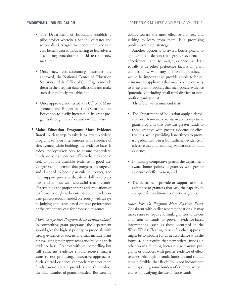- The Department of Education establish a pilot project wherein a handful of states and school districts agree to report more accurate cost-benefit data without having to fear adverse accounting procedures to field test the new measures;
- Once new cost-accounting measures are approved, the National Center of Education Statistics and the Office of Civil Rights include them in their regular data collections and make such data publicly available; and
- Once approved and tested, the Office of Management and Budget ask the Department of Education to justify increases in its grant programs through use of a cost-benefit analysis.
- **5. Make Education Programs More Evidence Based**. A clear step to take is to revamp federal programs to favor interventions with evidence of effectiveness while building the evidence base. If federal policymakers seek to ensure that federal funds are being spent cost effectively, they should seek to put the available evidence to good use. Congress should ensure that programs are targeted and designed to boost particular outcomes, and then support processes that drive dollars to practices and entities with successful track records. Determining the proper criteria and evaluations of performance ought to be entrusted to the independent process recommended previously, with an eye to judging applicants based on past performance or the evidentiary case for proposed measures.

*Make Competitive Programs More Evidence Based.* In competitive grant programs, the department should give the highest priority to proposals with strong evidence of success and that include plans for evaluating their approaches and building their evidence base. Grantees with less compelling but still sufficient evidence should receive smaller sums to test promising, innovative approaches. Such a tiered-evidence approach may steer more funds toward certain providers and thus reduce the total number of grants awarded. But steering dollars toward the most effective grantees, and seeking to learn from them, is a promising public-investment strategy.

Another option is to award bonus points to grantees that demonstrate greater evidence of effectiveness, and to weight evidence at least equally with other preference factors in grant competitions. With any of these approaches, it would be important to provide ample technical assistance to applicants that may lack the capacity to write grant proposals that incorporate evidence (potentially including small rural districts or nonprofit organizations).

Therefore, we recommend that

- The Department of Education apply a tieredevidence framework to its major competitive grant programs that provides greater funds to those grantees with greater evidence of effectiveness, while providing lesser funds to promising ideas with lesser but sufficient evidence of effectiveness and requiring evaluations to build evidence;
- In making competitive grants, the department award bonus points to grantees with greater evidence of effectiveness; and
- The department provide or support technical assistance to grantees that lack the capacity to compete for traditional competitive grants.

*Make Formula Programs More Evidence Based*. Consistent with earlier recommendations, it may make sense to require formula grantees to devote a portion of funds to proven, evidence-based interventions (such as those identified in the What Works Clearinghouse). Another approach might be to allocate funds in accordance with the formula, but require that new federal funds (in other words, funding increases) go toward programs or practices with greater evidence of effectiveness. Although formula funds are and should remain flexible, that flexibility is not inconsistent with expecting some burden of evidence when it comes to justifying the use of those funds.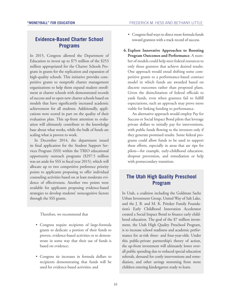# **Evidence-Based Charter School Programs**

In 2015, Congress allowed the Department of Education to invest up to \$75 million of the \$253 million appropriated for the Charter Schools Program in grants for the replication and expansion of high-quality schools. This initiative provides competitive grants to nonprofit charter management organizations to help them expand student enrollment at charter schools with demonstrated records of success and to open new charter schools based on models that have significantly increased academic achievement for all students. Additionally, applications were scored in part on the quality of their evaluation plan. This up-front attention to evaluation will ultimately contribute to the knowledge base about what works, while the bulk of funds are scaling what is proven to work.

In December 2014, the department issued its final application for the Student Support Services Program (SSS) within the TRIO educational opportunity outreach programs (\$297.5 million was set aside for SSS in fiscal year 2015), which will allocate up to two competitive preference priority points to applicants proposing to offer individual counseling activities based on at least moderate evidence of effectiveness. Another two points were available for applicants proposing evidence-based strategies to develop students' noncognitive factors through the SSS grants.

Therefore, we recommend that

- Congress require recipients of large-formula grants to dedicate a portion of their funds to proven, evidence-based activities or to demonstrate in some way that their use of funds is based on evidence;
- Congress tie increases in formula dollars to recipients demonstrating that funds will be used for evidence-based activities; and
- Congress find ways to direct more formula funds toward grantees with a track record of success.
- **6. Explore Innovative Approaches to Boosting Program Outcomes and Performance**. A number of models could help steer federal resources to only those grantees that achieve desired results. One approach would entail shifting some competitive grants to a performance-based contract model in which funds are awarded based on discrete outcomes rather than proposed plans. Given the disinclination of federal officials to yank funds, even when grantees fail to fulfill expectations, such an approach may prove more viable for linking funding to performance.

An alternative approach would employ Pay for Success or Social Impact Bond pilots that leverage private dollars to initially pay for interventions, with public funds flowing to the investors only if they generate promised results. Some federal programs could allow funds to be used to support these efforts, especially in areas that are ripe for pilots—for example, early-childhood education, dropout prevention, and remediation or help with postsecondary transition.

# **The Utah High Quality Preschool Program**

In Utah, a coalition including the Goldman Sachs Urban Investment Group, United Way of Salt Lake, and the J. B. and M. K. Pritzker Family Foundation's Early Childhood Innovation Accelerator created a Social Impact Bond to finance early childhood education. The goal of the \$7 million investment, the Utah High Quality Preschool Program, is to increase school readiness and academic performance for at-risk three- and four-year-olds. Under this public-private partnership's theory of action, the up-front investment will ultimately lower overall public spending due to reduced special education referrals, demand for costly interventions and remediation, and other savings stemming from more children entering kindergarten ready to learn.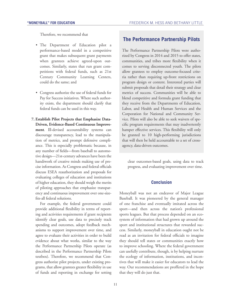Therefore, we recommend that

- The Department of Education pilot a performance-based model in a competitive grant that makes subsequent grant payments when grantees achieve agreed-upon outcomes. Similarly, states that run grant competitions with federal funds, such as 21st Century Community Learning Centers, could do the same; and
- Congress authorize the use of federal funds for Pay for Success initiatives. Where such authority exists, the department should clarify that federal funds can be used in this way.
- **7. Establish Pilot Projects that Emphasize Data-Driven, Evidence-Based Continuous Improvement**. Ill-devised accountability systems can discourage transparency, lead to the manipulation of metrics, and prompt defensive compliance. This is especially problematic because, in any number of fields—from baseball to automotive design—21st-century advances have been the handiwork of creative minds making use of precise information. As Congress and federal officials discuss ESEA reauthorization and proposals for evaluating colleges of education and institutions of higher education, they should weigh the merits of piloting approaches that emphasize transparency and continuous improvement over one-sizefits-all federal solutions.

For example, the federal government could provide additional flexibility in terms of reporting and activities requirements if grant recipients identify clear goals, use data to precisely track spending and outcomes, adopt feedback mechanisms to support improvement over time, and agree to evaluate their activities in order to build evidence about what works, similar to the way the Performance Partnership Pilots operate (as described in the Performance Partnership Pilots textbox). Therefore, we recommend that Congress authorize pilot projects, under existing programs, that allow grantees greater flexibility in use of funds and reporting in exchange for setting

# **The Performance Partnership Pilots**

The Performance Partnership Pilots were authorized by Congress in 2014 and 2015 to offer states, communities, and tribes more flexibility when it comes to serving disconnected youth. The pilots allow grantees to employ outcome-focused criteria rather than requiring up-front restrictions on program design or content. Interested parties will submit proposals that detail their strategy and clear metrics of success. Communities will be able to blend competitive and formula grant funding that they receive from the Departments of Education, Labor, and Health and Human Services and the Corporation for National and Community Service. Pilots will also be able to seek waivers of specific program requirements that may inadvertently hamper effective services. This flexibility will only be granted to 10 high-performing jurisdictions that will then be held accountable to a set of crossagency, data-driven outcomes.

clear outcomes-based goals, using data to track progress, and evaluating improvement over time.

# **Conclusion**

Moneyball was not an endeavor of Major League Baseball. It was pioneered by the general manager of one franchise and eventually imitated across the sport—and then across the nation's professional sports leagues. But that process depended on an ecosystem of information that had grown up around the sport and institutional structures that rewarded success. Similarly, moneyball in education ought not be read as an invitation for federal officials to imagine they should tell states or communities exactly how to improve schooling. Where the federal government can usefully contribute, though, is by helping nurture the ecology of information, institutions, and incentives that will make it easier for educators to lead the way. Our recommendations are proffered in the hope that they will do just that.